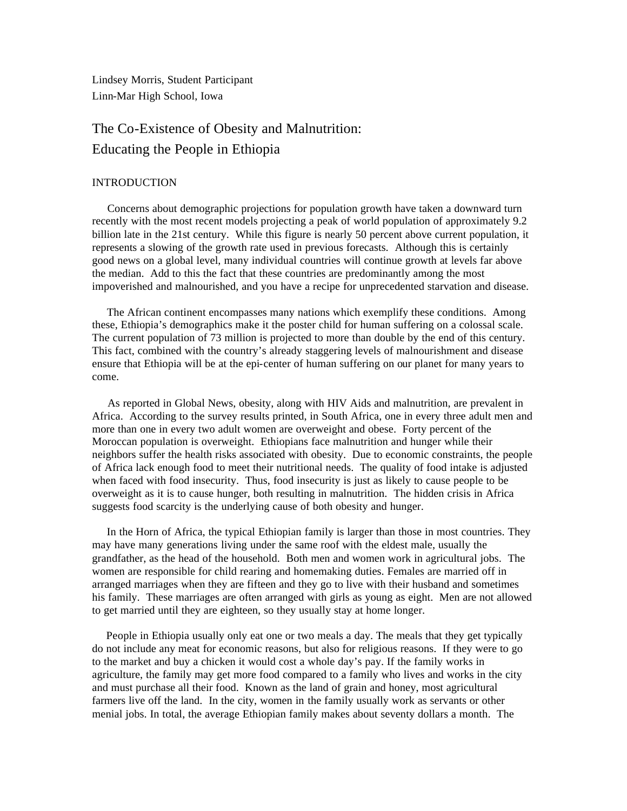Lindsey Morris, Student Participant Linn-Mar High School, Iowa

# The Co-Existence of Obesity and Malnutrition: Educating the People in Ethiopia

## **INTRODUCTION**

 Concerns about demographic projections for population growth have taken a downward turn recently with the most recent models projecting a peak of world population of approximately 9.2 billion late in the 21st century. While this figure is nearly 50 percent above current population, it represents a slowing of the growth rate used in previous forecasts. Although this is certainly good news on a global level, many individual countries will continue growth at levels far above the median. Add to this the fact that these countries are predominantly among the most impoverished and malnourished, and you have a recipe for unprecedented starvation and disease.

 The African continent encompasses many nations which exemplify these conditions. Among these, Ethiopia's demographics make it the poster child for human suffering on a colossal scale. The current population of 73 million is projected to more than double by the end of this century. This fact, combined with the country's already staggering levels of malnourishment and disease ensure that Ethiopia will be at the epi-center of human suffering on our planet for many years to come.

 As reported in Global News, obesity, along with HIV Aids and malnutrition, are prevalent in Africa. According to the survey results printed, in South Africa, one in every three adult men and more than one in every two adult women are overweight and obese. Forty percent of the Moroccan population is overweight. Ethiopians face malnutrition and hunger while their neighbors suffer the health risks associated with obesity. Due to economic constraints, the people of Africa lack enough food to meet their nutritional needs. The quality of food intake is adjusted when faced with food insecurity. Thus, food insecurity is just as likely to cause people to be overweight as it is to cause hunger, both resulting in malnutrition. The hidden crisis in Africa suggests food scarcity is the underlying cause of both obesity and hunger.

 In the Horn of Africa, the typical Ethiopian family is larger than those in most countries. They may have many generations living under the same roof with the eldest male, usually the grandfather, as the head of the household. Both men and women work in agricultural jobs. The women are responsible for child rearing and homemaking duties. Females are married off in arranged marriages when they are fifteen and they go to live with their husband and sometimes his family. These marriages are often arranged with girls as young as eight. Men are not allowed to get married until they are eighteen, so they usually stay at home longer.

 People in Ethiopia usually only eat one or two meals a day. The meals that they get typically do not include any meat for economic reasons, but also for religious reasons. If they were to go to the market and buy a chicken it would cost a whole day's pay. If the family works in agriculture, the family may get more food compared to a family who lives and works in the city and must purchase all their food. Known as the land of grain and honey, most agricultural farmers live off the land. In the city, women in the family usually work as servants or other menial jobs. In total, the average Ethiopian family makes about seventy dollars a month. The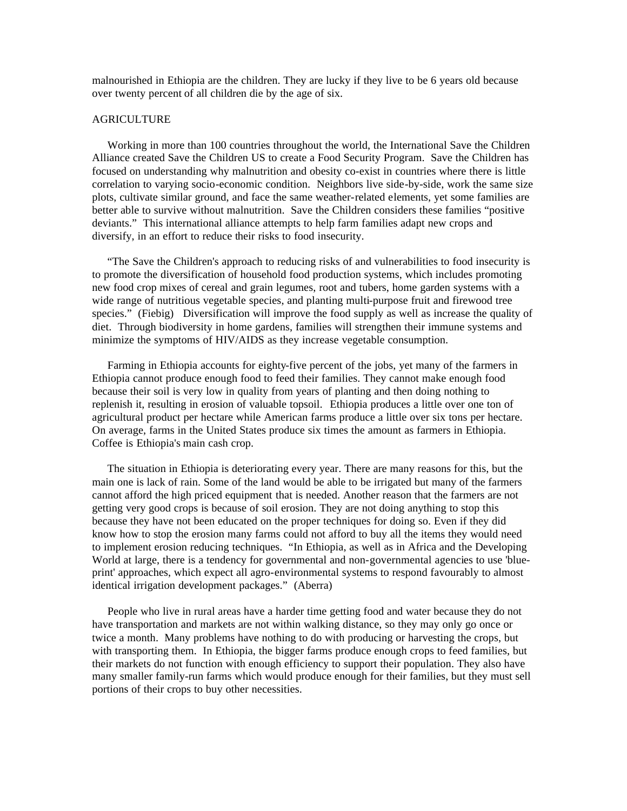malnourished in Ethiopia are the children. They are lucky if they live to be 6 years old because over twenty percent of all children die by the age of six.

# **AGRICULTURE**

 Working in more than 100 countries throughout the world, the International Save the Children Alliance created Save the Children US to create a Food Security Program. Save the Children has focused on understanding why malnutrition and obesity co-exist in countries where there is little correlation to varying socio-economic condition. Neighbors live side-by-side, work the same size plots, cultivate similar ground, and face the same weather-related elements, yet some families are better able to survive without malnutrition. Save the Children considers these families "positive deviants." This international alliance attempts to help farm families adapt new crops and diversify, in an effort to reduce their risks to food insecurity.

 "The Save the Children's approach to reducing risks of and vulnerabilities to food insecurity is to promote the diversification of household food production systems, which includes promoting new food crop mixes of cereal and grain legumes, root and tubers, home garden systems with a wide range of nutritious vegetable species, and planting multi-purpose fruit and firewood tree species." (Fiebig) Diversification will improve the food supply as well as increase the quality of diet. Through biodiversity in home gardens, families will strengthen their immune systems and minimize the symptoms of HIV/AIDS as they increase vegetable consumption.

 Farming in Ethiopia accounts for eighty-five percent of the jobs, yet many of the farmers in Ethiopia cannot produce enough food to feed their families. They cannot make enough food because their soil is very low in quality from years of planting and then doing nothing to replenish it, resulting in erosion of valuable topsoil. Ethiopia produces a little over one ton of agricultural product per hectare while American farms produce a little over six tons per hectare. On average, farms in the United States produce six times the amount as farmers in Ethiopia. Coffee is Ethiopia's main cash crop.

 The situation in Ethiopia is deteriorating every year. There are many reasons for this, but the main one is lack of rain. Some of the land would be able to be irrigated but many of the farmers cannot afford the high priced equipment that is needed. Another reason that the farmers are not getting very good crops is because of soil erosion. They are not doing anything to stop this because they have not been educated on the proper techniques for doing so. Even if they did know how to stop the erosion many farms could not afford to buy all the items they would need to implement erosion reducing techniques. "In Ethiopia, as well as in Africa and the Developing World at large, there is a tendency for governmental and non-governmental agencies to use 'blueprint' approaches, which expect all agro-environmental systems to respond favourably to almost identical irrigation development packages." (Aberra)

 People who live in rural areas have a harder time getting food and water because they do not have transportation and markets are not within walking distance, so they may only go once or twice a month. Many problems have nothing to do with producing or harvesting the crops, but with transporting them. In Ethiopia, the bigger farms produce enough crops to feed families, but their markets do not function with enough efficiency to support their population. They also have many smaller family-run farms which would produce enough for their families, but they must sell portions of their crops to buy other necessities.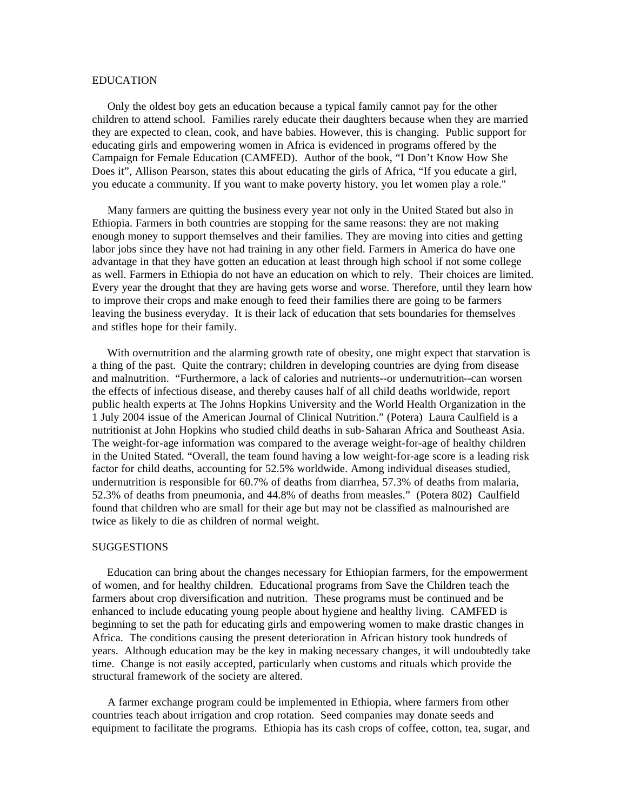## EDUCATION

 Only the oldest boy gets an education because a typical family cannot pay for the other children to attend school. Families rarely educate their daughters because when they are married they are expected to clean, cook, and have babies. However, this is changing. Public support for educating girls and empowering women in Africa is evidenced in programs offered by the Campaign for Female Education (CAMFED). Author of the book, "I Don't Know How She Does it", Allison Pearson, states this about educating the girls of Africa, "If you educate a girl, you educate a community. If you want to make poverty history, you let women play a role."

 Many farmers are quitting the business every year not only in the United Stated but also in Ethiopia. Farmers in both countries are stopping for the same reasons: they are not making enough money to support themselves and their families. They are moving into cities and getting labor jobs since they have not had training in any other field. Farmers in America do have one advantage in that they have gotten an education at least through high school if not some college as well. Farmers in Ethiopia do not have an education on which to rely. Their choices are limited. Every year the drought that they are having gets worse and worse. Therefore, until they learn how to improve their crops and make enough to feed their families there are going to be farmers leaving the business everyday. It is their lack of education that sets boundaries for themselves and stifles hope for their family.

 With overnutrition and the alarming growth rate of obesity, one might expect that starvation is a thing of the past. Quite the contrary; children in developing countries are dying from disease and malnutrition. "Furthermore, a lack of calories and nutrients--or undernutrition--can worsen the effects of infectious disease, and thereby causes half of all child deaths worldwide, report public health experts at The Johns Hopkins University and the World Health Organization in the 1 July 2004 issue of the American Journal of Clinical Nutrition." (Potera) Laura Caulfield is a nutritionist at John Hopkins who studied child deaths in sub-Saharan Africa and Southeast Asia. The weight-for-age information was compared to the average weight-for-age of healthy children in the United Stated. "Overall, the team found having a low weight-for-age score is a leading risk factor for child deaths, accounting for 52.5% worldwide. Among individual diseases studied, undernutrition is responsible for 60.7% of deaths from diarrhea, 57.3% of deaths from malaria, 52.3% of deaths from pneumonia, and 44.8% of deaths from measles." (Potera 802) Caulfield found that children who are small for their age but may not be classified as malnourished are twice as likely to die as children of normal weight.

# **SUGGESTIONS**

 Education can bring about the changes necessary for Ethiopian farmers, for the empowerment of women, and for healthy children. Educational programs from Save the Children teach the farmers about crop diversification and nutrition. These programs must be continued and be enhanced to include educating young people about hygiene and healthy living. CAMFED is beginning to set the path for educating girls and empowering women to make drastic changes in Africa. The conditions causing the present deterioration in African history took hundreds of years. Although education may be the key in making necessary changes, it will undoubtedly take time. Change is not easily accepted, particularly when customs and rituals which provide the structural framework of the society are altered.

 A farmer exchange program could be implemented in Ethiopia, where farmers from other countries teach about irrigation and crop rotation. Seed companies may donate seeds and equipment to facilitate the programs. Ethiopia has its cash crops of coffee, cotton, tea, sugar, and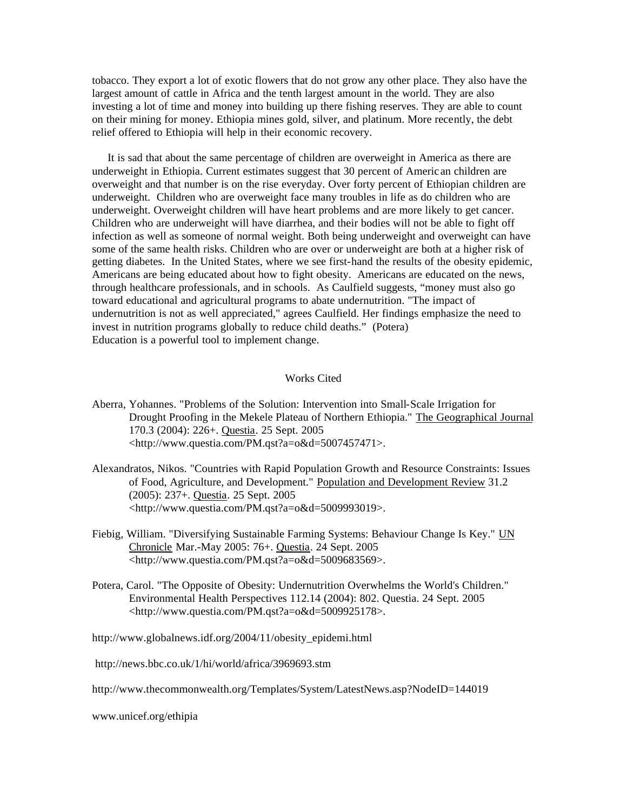tobacco. They export a lot of exotic flowers that do not grow any other place. They also have the largest amount of cattle in Africa and the tenth largest amount in the world. They are also investing a lot of time and money into building up there fishing reserves. They are able to count on their mining for money. Ethiopia mines gold, silver, and platinum. More recently, the debt relief offered to Ethiopia will help in their economic recovery.

 It is sad that about the same percentage of children are overweight in America as there are underweight in Ethiopia. Current estimates suggest that 30 percent of Americ an children are overweight and that number is on the rise everyday. Over forty percent of Ethiopian children are underweight. Children who are overweight face many troubles in life as do children who are underweight. Overweight children will have heart problems and are more likely to get cancer. Children who are underweight will have diarrhea, and their bodies will not be able to fight off infection as well as someone of normal weight. Both being underweight and overweight can have some of the same health risks. Children who are over or underweight are both at a higher risk of getting diabetes. In the United States, where we see first-hand the results of the obesity epidemic, Americans are being educated about how to fight obesity. Americans are educated on the news, through healthcare professionals, and in schools. As Caulfield suggests, "money must also go toward educational and agricultural programs to abate undernutrition. "The impact of undernutrition is not as well appreciated," agrees Caulfield. Her findings emphasize the need to invest in nutrition programs globally to reduce child deaths." (Potera) Education is a powerful tool to implement change.

# Works Cited

- Aberra, Yohannes. "Problems of the Solution: Intervention into Small-Scale Irrigation for Drought Proofing in the Mekele Plateau of Northern Ethiopia." The Geographical Journal 170.3 (2004): 226+. Questia. 25 Sept. 2005 <http://www.questia.com/PM.qst?a=o&d=5007457471>.
- Alexandratos, Nikos. "Countries with Rapid Population Growth and Resource Constraints: Issues of Food, Agriculture, and Development." Population and Development Review 31.2 (2005): 237+. Questia. 25 Sept. 2005 <http://www.questia.com/PM.qst?a=o&d=5009993019>.
- Fiebig, William. "Diversifying Sustainable Farming Systems: Behaviour Change Is Key." UN Chronicle Mar.-May 2005: 76+. Questia. 24 Sept. 2005 <http://www.questia.com/PM.qst?a=o&d=5009683569>.
- Potera, Carol. "The Opposite of Obesity: Undernutrition Overwhelms the World's Children." Environmental Health Perspectives 112.14 (2004): 802. Questia. 24 Sept. 2005 <http://www.questia.com/PM.qst?a=o&d=5009925178>.

http://www.globalnews.idf.org/2004/11/obesity\_epidemi.html

http://news.bbc.co.uk/1/hi/world/africa/3969693.stm

http://www.thecommonwealth.org/Templates/System/LatestNews.asp?NodeID=144019

www.unicef.org/ethipia